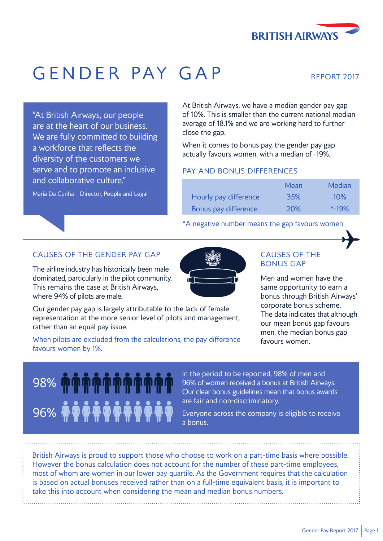

## GENDER PAY GAP

We are fully committed to building actually favours women, with a median of -19%. diversity of the customers we serve and to promote an inclusive PAY AND BONUS DIFFERENCES and collaborative culture."

Maria Da Cunha – Director, People and Legal

At British Airways, we have a median gender pay gap "At British Airways, our people of 10%. This is smaller than the current national median are at the heart of our business.<br>  $\frac{1}{2}$  average of 18.1% and we are working hard to further<br>
close the gap.

a workforce that reflects the **When it comes to bonus pay, the gender pay gap** 

|                       | Mean       | Median    |
|-----------------------|------------|-----------|
| Hourly pay difference | <b>35%</b> | 10%       |
| Bonus pay difference  | <b>20%</b> | $* - 19%$ |

#### \*A negative number means the gap favours women



#### CAUSES OF THE GENDER PAY GAP CAUSES OF THE

The airline industry has historically been male **The airline industry has historically been male** dominated, particularly in the pilot community.  $\mathbf{u}$ This remains the case at British Airways, This remains the case at British Airways, where 94% of pilots are male. bonus through British Airways'



Our gender pay gap is largely attributable to the lack of female<br>representation at the more senior level of pilots and management,<br>rather than an equal pay issue.<br>men, the median bonus gap<br>men, the median bonus gap

When pilots are excluded from the calculations, the pay difference favours women. favours women by 1%.

# 96%

In the period to be reported, 98% of men and 98% **DES MEST OF THE PROPERTY OF STATE OF WOMEN FOR A DISPOSE AIR AIRWAYS.** Our clear bonus guidelines mean that bonus awards are fair and non-discriminatory.

> Everyone across the company is eligible to receive a bonus.

British Airways is proud to support those who choose to work on a part-time basis where possible. However the bonus calculation does not account for the number of these part-time employees, most of whom are women in our lower pay quartile. As the Government requires that the calculation is based on actual bonuses received rather than on a full-time equivalent basis, it is important to take this into account when considering the mean and median bonus numbers.